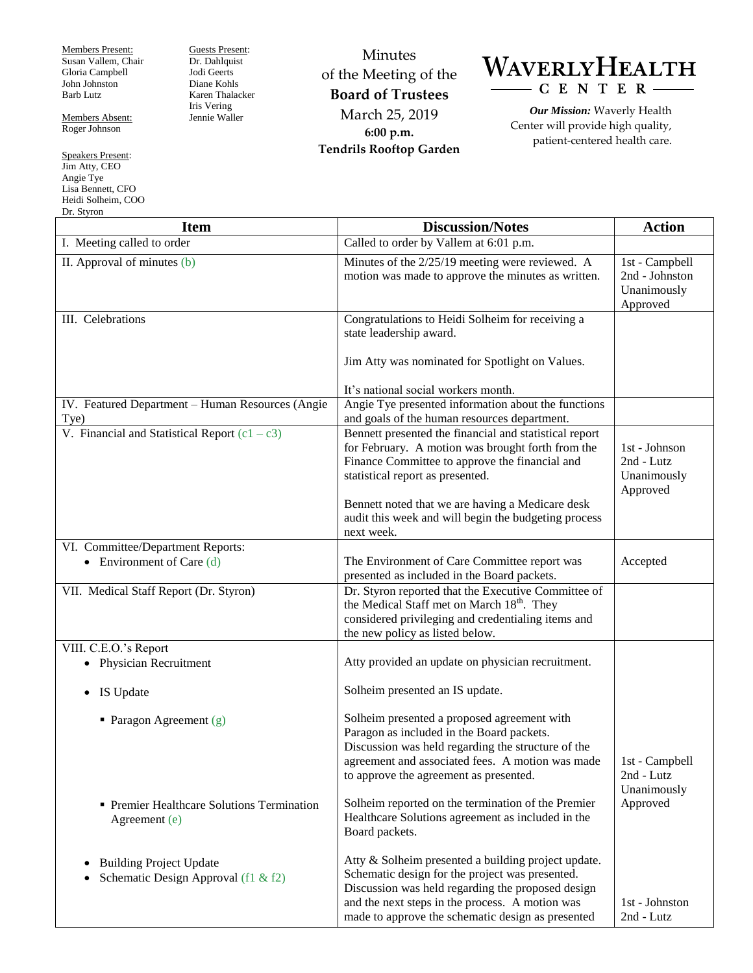Members Present: Susan Vallem, Chair Gloria Campbell John Johnston Barb Lutz

Members Absent: Roger Johnson

Speakers Present: Jim Atty, CEO Angie Tye Lisa Bennett, CFO Heidi Solheim, COO Dr. St

Guests Present: Dr. Dahlquist Jodi Geerts Diane Kohls Karen Thalacker Iris Vering Jennie Waller

Minutes of the Meeting of the **Board of Trustees** March 25, 2019 **6:00 p.m. Tendrils Rooftop Garden**



*Our Mission:* Waverly Health Center will provide high quality, patient-centered health care.

| DT. Styron<br><b>Item</b>                                             | <b>Discussion/Notes</b>                                                                                                                                                                                                                                             | <b>Action</b>                                               |
|-----------------------------------------------------------------------|---------------------------------------------------------------------------------------------------------------------------------------------------------------------------------------------------------------------------------------------------------------------|-------------------------------------------------------------|
| I. Meeting called to order                                            | Called to order by Vallem at 6:01 p.m.                                                                                                                                                                                                                              |                                                             |
| II. Approval of minutes (b)                                           | Minutes of the 2/25/19 meeting were reviewed. A<br>motion was made to approve the minutes as written.                                                                                                                                                               | 1st - Campbell<br>2nd - Johnston<br>Unanimously<br>Approved |
| III. Celebrations                                                     | Congratulations to Heidi Solheim for receiving a<br>state leadership award.<br>Jim Atty was nominated for Spotlight on Values.<br>It's national social workers month.                                                                                               |                                                             |
| IV. Featured Department - Human Resources (Angie<br>Tye)              | Angie Tye presented information about the functions<br>and goals of the human resources department.                                                                                                                                                                 |                                                             |
| V. Financial and Statistical Report $(c1 - c3)$                       | Bennett presented the financial and statistical report<br>for February. A motion was brought forth from the<br>Finance Committee to approve the financial and<br>statistical report as presented.<br>Bennett noted that we are having a Medicare desk               | 1st - Johnson<br>2nd - Lutz<br>Unanimously<br>Approved      |
|                                                                       | audit this week and will begin the budgeting process<br>next week.                                                                                                                                                                                                  |                                                             |
| VI. Committee/Department Reports:<br>• Environment of Care $(d)$      | The Environment of Care Committee report was<br>presented as included in the Board packets.                                                                                                                                                                         | Accepted                                                    |
| VII. Medical Staff Report (Dr. Styron)                                | Dr. Styron reported that the Executive Committee of<br>the Medical Staff met on March 18 <sup>th</sup> . They<br>considered privileging and credentialing items and<br>the new policy as listed below.                                                              |                                                             |
| VIII. C.E.O.'s Report                                                 |                                                                                                                                                                                                                                                                     |                                                             |
| • Physician Recruitment                                               | Atty provided an update on physician recruitment.                                                                                                                                                                                                                   |                                                             |
| IS Update<br>$\bullet$                                                | Solheim presented an IS update.                                                                                                                                                                                                                                     |                                                             |
| • Paragon Agreement $(g)$                                             | Solheim presented a proposed agreement with<br>Paragon as included in the Board packets.<br>Discussion was held regarding the structure of the<br>agreement and associated fees. A motion was made<br>to approve the agreement as presented.                        | 1st - Campbell<br>2nd - Lutz                                |
| • Premier Healthcare Solutions Termination<br>Agreement (e)           | Solheim reported on the termination of the Premier<br>Healthcare Solutions agreement as included in the<br>Board packets.                                                                                                                                           | Unanimously<br>Approved                                     |
| <b>Building Project Update</b><br>Schematic Design Approval (f1 & f2) | Atty & Solheim presented a building project update.<br>Schematic design for the project was presented.<br>Discussion was held regarding the proposed design<br>and the next steps in the process. A motion was<br>made to approve the schematic design as presented | 1st - Johnston<br>2nd - Lutz                                |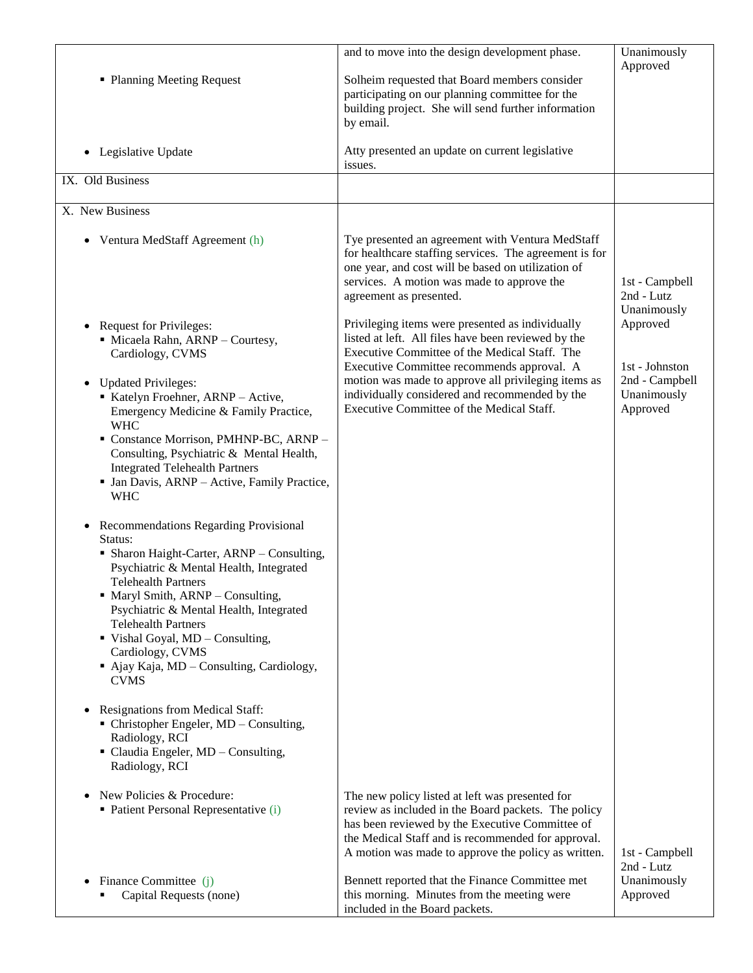| • Planning Meeting Request<br>Legislative Update<br>$\bullet$                                                                                                                                                                                                                                                                                                                                                                                                                                                                                                                                                                                                                                                                                                                                                                                                                                                                                                                                                          | and to move into the design development phase.<br>Solheim requested that Board members consider<br>participating on our planning committee for the<br>building project. She will send further information<br>by email.<br>Atty presented an update on current legislative<br>issues.                                                                         | Unanimously<br>Approved                                                 |
|------------------------------------------------------------------------------------------------------------------------------------------------------------------------------------------------------------------------------------------------------------------------------------------------------------------------------------------------------------------------------------------------------------------------------------------------------------------------------------------------------------------------------------------------------------------------------------------------------------------------------------------------------------------------------------------------------------------------------------------------------------------------------------------------------------------------------------------------------------------------------------------------------------------------------------------------------------------------------------------------------------------------|--------------------------------------------------------------------------------------------------------------------------------------------------------------------------------------------------------------------------------------------------------------------------------------------------------------------------------------------------------------|-------------------------------------------------------------------------|
| IX. Old Business                                                                                                                                                                                                                                                                                                                                                                                                                                                                                                                                                                                                                                                                                                                                                                                                                                                                                                                                                                                                       |                                                                                                                                                                                                                                                                                                                                                              |                                                                         |
| X. New Business                                                                                                                                                                                                                                                                                                                                                                                                                                                                                                                                                                                                                                                                                                                                                                                                                                                                                                                                                                                                        |                                                                                                                                                                                                                                                                                                                                                              |                                                                         |
| Ventura MedStaff Agreement (h)<br>$\bullet$                                                                                                                                                                                                                                                                                                                                                                                                                                                                                                                                                                                                                                                                                                                                                                                                                                                                                                                                                                            | Tye presented an agreement with Ventura MedStaff<br>for healthcare staffing services. The agreement is for<br>one year, and cost will be based on utilization of<br>services. A motion was made to approve the<br>agreement as presented.                                                                                                                    | 1st - Campbell<br>2nd - Lutz<br>Unanimously                             |
| <b>Request for Privileges:</b><br>$\bullet$<br>· Micaela Rahn, ARNP - Courtesy,<br>Cardiology, CVMS<br><b>Updated Privileges:</b><br>$\bullet$<br>Katelyn Froehner, ARNP - Active,<br>Emergency Medicine & Family Practice,<br><b>WHC</b><br>• Constance Morrison, PMHNP-BC, ARNP -<br>Consulting, Psychiatric & Mental Health,<br><b>Integrated Telehealth Partners</b><br>• Jan Davis, ARNP - Active, Family Practice,<br><b>WHC</b><br>Recommendations Regarding Provisional<br>$\bullet$<br>Status:<br>• Sharon Haight-Carter, ARNP - Consulting,<br>Psychiatric & Mental Health, Integrated<br><b>Telehealth Partners</b><br>Maryl Smith, ARNP - Consulting,<br>Psychiatric & Mental Health, Integrated<br><b>Telehealth Partners</b><br>Vishal Goyal, MD - Consulting,<br>Cardiology, CVMS<br>• Ajay Kaja, MD - Consulting, Cardiology,<br><b>CVMS</b><br>Resignations from Medical Staff:<br>• Christopher Engeler, MD - Consulting,<br>Radiology, RCI<br>• Claudia Engeler, MD - Consulting,<br>Radiology, RCI | Privileging items were presented as individually<br>listed at left. All files have been reviewed by the<br>Executive Committee of the Medical Staff. The<br>Executive Committee recommends approval. A<br>motion was made to approve all privileging items as<br>individually considered and recommended by the<br>Executive Committee of the Medical Staff. | Approved<br>1st - Johnston<br>2nd - Campbell<br>Unanimously<br>Approved |
| New Policies & Procedure:<br>• Patient Personal Representative (i)                                                                                                                                                                                                                                                                                                                                                                                                                                                                                                                                                                                                                                                                                                                                                                                                                                                                                                                                                     | The new policy listed at left was presented for<br>review as included in the Board packets. The policy<br>has been reviewed by the Executive Committee of<br>the Medical Staff and is recommended for approval.<br>A motion was made to approve the policy as written.                                                                                       | 1st - Campbell                                                          |
| Finance Committee (j)<br>Capital Requests (none)                                                                                                                                                                                                                                                                                                                                                                                                                                                                                                                                                                                                                                                                                                                                                                                                                                                                                                                                                                       | Bennett reported that the Finance Committee met<br>this morning. Minutes from the meeting were<br>included in the Board packets.                                                                                                                                                                                                                             | 2nd - Lutz<br>Unanimously<br>Approved                                   |